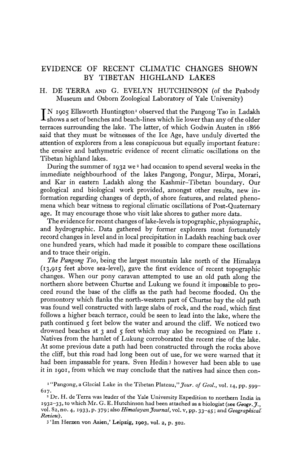# **EVIDENCE OF RECENT CLIMATIC CHANGES SHOWN BY TIBETAN HIGHLAND LAKES**

## **H. DE TERRA AND G. EVELYN HUTCHINSON (of the Peabody Museum and Osborn Zoological Laboratory of Yale University)**

IN 1905 Ellsworth Huntington<sup>1</sup> observed that the Pangong Tso in Ladakh **shows a set of benches and beach-lines which lie lower than any of the older terraces surrounding the lake. The latter, of which Godwin Austen in I866 said that they must be witnesses of the Ice Age, have unduly diverted the attention of explorers from a less conspicuous but equally important feature: the erosive and bathymetric evidence of recent climatic oscillations on the Tibetan highland lakes.** 

**During the summer of 1932 we 2 had occasion to spend several weeks in the immediate neighbourhood of the lakes Pangong, Pongur, Mirpa, Morari, and Kar in eastern Ladakh along the Kashmir-Tibetan boundary. Our geological and biological work provided, amongst other results, new information regarding changes of depth, of shore features, and related phenomena which bear witness to regional climatic oscillations of Post-Quaternary age. It may encourage those who visit lake shores to gather more data.** 

**The evidence for recent changes of lake-levels is topographic, physiographic, and hydrographic. Data gathered by former explorers most fortunately record changes in level and in local precipitation in Ladakh reaching back over one hundred years, which had made it possible to compare these oscillations and to trace their origin.** 

**The Pangong Tso, being the largest mountain lake north of the Himalaya (I3,9I5 feet above sea-level), gave the first evidence of recent topographic changes. When our pony caravan attempted to use an old path along the northern shore between Churtse and Lukung we found it impossible to proceed round the base of the cliffs as the path had become flooded. On the promontory which flanks the north-western part of Churtse bay the old path was found well constructed with large slabs of rock, and the road, which first follows a higher beach terrace, could be seen to lead into the lake, where the path continued 5 feet below the water and around the cliff. We noticed two drowned beaches at 3 and 5 feet which may also be recognized on Plate I. Natives from the hamlet of Lukung corroborated the recent rise of the lake. At some previous date a path had been constructed through the rocks above the cliff, but this road had long been out of use, for we were warned that it had been impassable for years. Sven Hedin3 however had been able to use it in I90I, from which we may conclude that the natives had since then con-**

<sup>&</sup>lt;sup>1</sup><sup>*I*</sup>Pangong, a Glacial Lake in the Tibetan Plateau," *Jour. of Geol.*, vol. 14, pp. 599-**617.** 

**<sup>2</sup>Dr. H. de Terra was leader of the Yale University Expedition to northern India in 1932-33, to which Mr. G. E. Hutchinson had been attached as a biologist (see Geogr.J., vol. 82, no. 4, 1933, p. 379; also Himalayan Journal, vol vpp. 33-45; and Geograpical Review)'.** 

**<sup>3 &#</sup>x27;Im Herzen von Asien,' Leipzig, I903, vol. 2, p. 502.**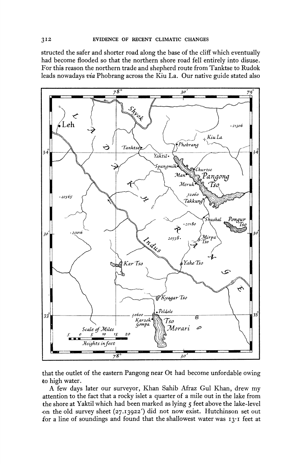**structed the safer and shorter road along the base of the cliff which eventually had become flooded so that the northern shore road fell entirely into disuse. For this reason the northern trade and shepherd route from Tanktse to Rudok leads nowadays via Phobrang across the Kiu La. Our native guide stated also** 



**that the outlet of the eastern Pangong near Ot had become unfordable owing to high water.** 

**A few days later our surveyor, Khan Sahib Afraz Gul Khan, drew my .attention to the fact that a rocky islet a quarter of a mile out in the lake from the shore at Yaktil which had been marked as lying 5 feet above the lake-level on the old survey sheet (27.I3922') did not now exist. Hutchinson set out for a line of soundings and found that the shallowest water was I3-I feet at**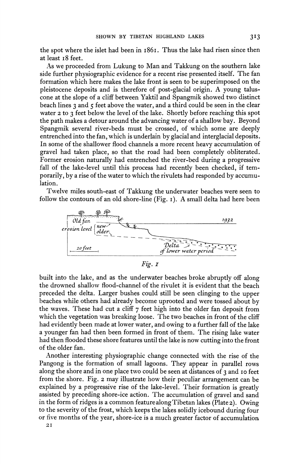**the spot where the islet had been in i86I. Thus the lake had risen since then at least I8 feet.** 

**As we proceeded from Lukung to Man and Takkung on the southern lake side further physiographic evidence for a recent rise presented itself. The fan formation which here makes the lake front is seen to be superimposed on the pleistocene deposits and is therefore of post-glacial origin. A young taluscone at the slope of a cliff between Yaktil and Spangmik showed two distinct beach lines 3 and 5 feet above the water, and a third could be seen in the clear water 2 to 3 feet below the level of the lake. Shortly before reaching this spot the path makes a detour around the advancing water of a shallow bay. Beyond Spangmik several river-beds must be crossed, of which some are deeply entrenched into the fan, which is underlain by glacial and interglacial deposits. In some of the shallower flood channels a more recent heavy accumulation of gravel had taken place, so that the road had been completely obliterated. Former erosion naturally had entrenched the river-bed during a progressive fall of the lake-level until this process had recently been checked, if temporarily, by a rise of the water to which the rivulets had responded by accumulation.** 

**Twelve miles south-east of Takkung the underwater beaches were seen to follow the contours of an old shore-line (Fig. I). A small delta had here been** 



**Fig. I** 

**built into the lake, and as the underwater beaches broke abruptly off along the drowned shallow flood-channel of the rivulet it is evident that the beach preceded the delta. Larger bushes could still be seen clinging to the upper beaches while others had already become uprooted and were tossed about by the waves. These had cut a cliff 7 feet high into the older fan deposit from which the vegetation was breaking loose. The two beaches in front of the cliff had evidently been made at lower water, and owing to a further fall of the lake a younger fan had then been formed in front of them. The rising lake water had then flooded these shore features until the lake is now cutting into the front of the older fan.** 

**Another interesting physiographic change connected with the rise of the Pangong is the formation of small lagoons. They appear in parallel rows along the shore and in one place two could be seen at distances of 3 and io feet from the shore. Fig. 2 may illustrate how their peculiar arrangement can be explained by a progressive rise of the lake-level. Their formation is greatly assisted by preceding shore-ice action. The accumulation of gravel and sand in the form of ridges is a common feature along Tibetan lakes (Plate2). Owing to the severity of the frost, which keeps the lakes solidly icebound during four or five months of the year, shore-ice is a much greater factor of accumulation**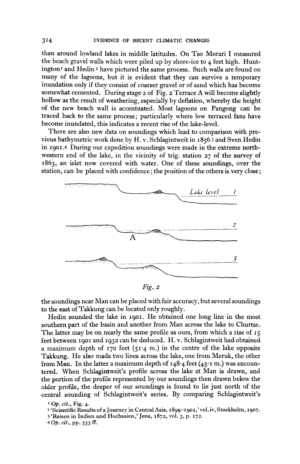**than around lowland lakes in middle latitudes. On Tso Morari I measured the beach gravel walls which were piled up by shore-ice to 4 feet high. Huntington' and Hedin z have pictured the same process. Such walls are found on many of the lagoons, but it is evident that they can survive a temporary inundation only if they consist of coarser gravel or of sand which has become somewhat cemented. During stage 2 of Fig. 2 Terrace A will become slightly hollow as the result of weathering, especially by deflation, whereby the height of the new beach wall is accentuated. Most lagoons on Pangong can be traced back to the same process; particularly where low terraced fans have become inundated, this indicates a recent rise of the lake-level.** 

**There are also new data on soundings which lead to comparison with previous bathymetric work done by H. v. Schlagintweit in I856 3 and Sven Hedin in 1901.4 During our expedition soundings were made in the extreme northwestern end of the lake, in the vicinity of trig. station 27 of the survey of 1863, an islet now covered with water. One of these soundings, over the station, can be placed with confidence; the position of the others is very close;** 



**Fig. 2** 

**the soundings near Man can be placed with fair accuracy, but several soundings to the east of Takkung can be located only roughly.** 

**Hedin sounded the lake in 1901. He obtained one long line in the most southern part of the basin and another from Man across the lake to Churtse.**  The latter may be on nearly the same profile as ours, from which a rise of  $15$ **feet between 190o and 1932 can be deduced. H. v. Schlagintweit had obtained a maximum depth of 170 feet (5I 4 m.) in the centre of the lake opposite Takkung. He also made two lines across the lake, one from Meruk, the other from Man. In the latter a maximum depth of I48\*4 feet (45'\* m.) was encountered. When Schlagintweit's profile across the lake at Man is drawn, and the portion of the profile represented by our soundings then drawn below the older profile, the deeper of our soundings is found to lie just north of the central sounding of Schlagintweit's series. By comparing Schlagintweit's** 

- **<sup>2</sup>'Scientific Results of a Journey in Central Asia, I899-I 902,' vol.iv, Stockholm, 1907.**
- **3'Reisen in Indien und Hochasien,' Jena, 1872, vol. 3, p. I72.**
- **4 Op. cit., pp. 333 ff.**

**I Op. cit., Fig. 4.**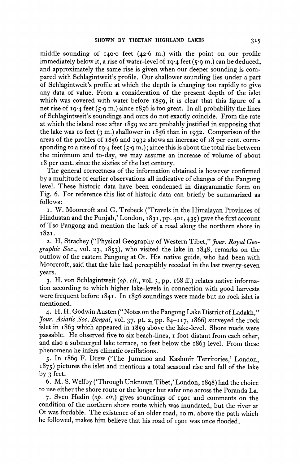**middle sounding of I40o0 feet (426 m.) with the point on our profile immediately below it, a rise of water-level of x9-4 feet (5-9 m.) can be deduced, and approximately the same rise is given when our deeper sounding is compared with Schlagintweit's profile. Our shallower sounding lies under a part of Schlagintweit's profile at which the depth is changing too rapidly to give any data of value. From a consideration of the present depth of the islet which was covered with water before 1859, it is clear that this figure of a net rise of 19-4 feet (5-9 m.) since I856 is too great. In all probability the lines of Schlagintweit's soundings and ours do not exactly coincide. From the rate at which the island rose after 1859 we are probably justified in supposing that the lake was 10 feet (3 m.) shallower in**  $1856$  **than in**  $1932$ **. Comparison of the areas of the profiles of I856 and 1932 shows an increase of i8 per cent. corresponding to a rise of 19'4 feet (5-9 m.); since this is about the total rise between the minimum and to-day, we may assume an increase of volume of about 18 per cent. since the sixties of the last century.** 

**The general correctness of the information obtained is however confirmed by a multitude of earlier observations all indicative of changes of the Pangong level. These historic data have been condensed in diagrammatic form on Fig. 6. For reference this list of historic data can briefly be summarized as follows:** 

**I. W. Moorcroft and G. Trebeck ('Travels in the Himalayan Provinces of**  Hindustan and the Punjab,' London, 1831, pp. 401, 435) gave the first account **of Tso Pangong and mention the lack of a road along the northern shore in I82I.** 

2. H. Strachey ("Physical Geography of Western Tibet," *Jour. Royal Geo***graphic Soc., vol. 23, I853), who visited the lake in 1848, remarks on the outflow of the eastern Pangong at Ot. His native guide, who had been with Moorcroft, said that the lake had perceptibly receded in the last twenty-seven years.** 

**3. H. von Schlagintweit (op. cit., vol. 3, pp. i68 ff.) relates native information according to which higher lake-levels in connection with good harvests were frequent before 1841. In i856 soundings were made but no rock islet is mentioned.** 

**4. H. H. Godwin Austen ("Notes on the Pangong Lake District of Ladakh," Jour. Asiatic Soc. Bengal, vol. 37, pt. 2, pp. 84-117, i866) surveyed the rock islet in 1863 which appeared in 1859 above the lake-level. Shore roads were passable. He observed five to six beach-lines, i foot distant from each other, and also a submerged lake terrace, io feet below the 1863 level. From these phenomena he infers climatic oscillations.** 

**5. In 1869 F. Drew ('The Jummoo and Kashmir Territories,' London, 1875) pictures the islet and mentions a total seasonal rise and fall of the lake by 3 feet.** 

**6. M. S. Wellby ('Through Unknown Tibet,' London, I898) had the choice to use either the shore route or the longer but safer one across the Poranda La.** 

7. Sven Hedin (op. cit.) gives soundings of 1901 and comments on the **condition of the northern shore route which was inundated, but the river at Ot was fordable. The existence of an older road, io m. above the path which he followed, makes him believe that his road of 190o was once flooded.**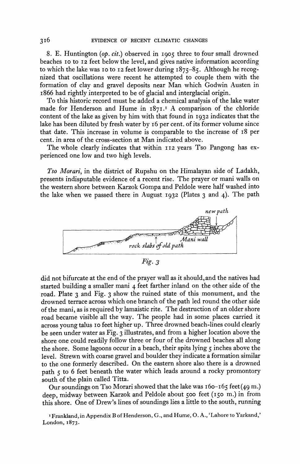**8. E. Huntington (op. cit.) observed in I905 three to four small drowned beaches 10 to 12 feet below the level, and gives native information according to which the lake was io to 12 feet lower during I875-85. Although he recognized that oscillations were recent he attempted to couple them with the formation of clay and gravel deposits near Man which Godwin Austen in i866 had rightly interpreted to be of glacial and interglacial origin.** 

**To this historic record must be added a chemical analysis of the lake water made for Henderson and Hume in I87I.I A comparison of the chloride content of the lake as given by him with that found in 1932 indicates that the lake has been diluted by fresh water by 16 per cent. of its former volume since that date. This increase in volume is comparable to the increase of I8 per cent. in area of the cross-section at Man indicated above.** 

The whole clearly indicates that within 112 years Tso Pangong has ex**perienced one low and two high levels.** 

**Tso Morari, in the district of Rupshu on the Himalayan side of Ladakh, presents indisputable evidence of a recent rise. The prayer or mani walls on the western shore between Karzok Gompa and Peldole were half washed into the lake when we passed there in August 1932 (Plates 3 and 4). The path** 



**Fig. 3** 

**did not bifurcate at the end of the prayer wall as it should,and the natives had started building a smaller mani 4 feet farther inland on the other side of the road. Plate 3 and Fig. 3 show the ruined state of this monument, and the drowned terrace across which one branch of the path led round the other side of the mani, as is required by lamaistic rite. The destruction of an older shore road became visible all the way. The people had in some places carried it across young talus 10 feet higher up. Three drowned beach-lines could clearly be seen under water as Fig. 3 illustrates, and from a higher location above the shore one could readily follow three or four of the drowned beaches all along the shore. Some lagoons occur in a beach, their spits lying 5 inches above the level. Strewn with coarse gravel and boulder they indicate a formation similar to the one formerly described. On the eastern shore also there is a drowned path 5 to 6 feet beneath the water which leads around a rocky promontory south of the plain called Titta.** 

**Our soundings on Tso Morari showed that the lake was I60- 65 feet (49 m.) deep, midway between Karzok and Peldole about 500 feet (I50 m.) in from this shore. One of Drew's lines of soundings lies a little to the south, running** 

**<sup>I</sup>Frankland,in Appendix B of Henderson, G., and Hume, O. A., 'Lahore to Yarkand,' London, I873.**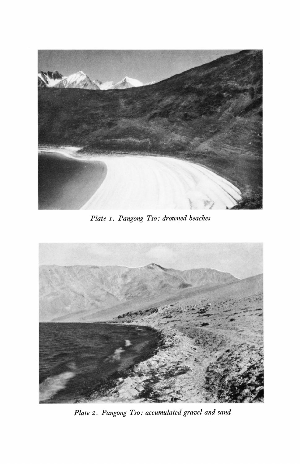

**Plate I. Pangong Tso: drowned beaches** 



**Plate 2. Pangong Tso: accumulated gravel and sand**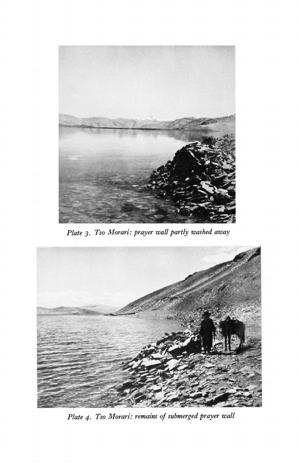

**Plate 3. Tso Morari: prayer wall partly washed away** 



**Plate 4. Tso Morari: remains of submerged prayer wall**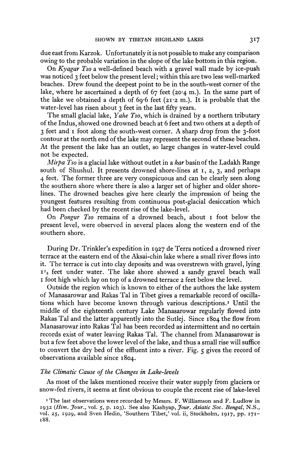**due east from Karzok. Unfortunately it is not possible to make any comparison owing to the probable variation in the slope of the lake bottom in this region.** 

**On Kyagar Tso a well-defined beach with a gravel wall made by ice-push was noticed 3 feet below the present level; within this are two less well-marked beaches. Drew found the deepest point to be in the south-west corner of the lake, where he ascertained a depth of 67 feet (20-4 m.). In the same part of**  the lake we obtained a depth of  $69.6$  feet  $(21.2 \text{ m.})$ . It is probable that the **water-level has risen about 3 feet in the last fifty years.** 

**The small glacial lake, Yahe Tso, which is drained by a northern tributary of the Indus, showed one drowned beach at 6 feet and two others at a depth of 3 feet and i foot along the south-west corner. A sharp drop from the 3-foot contour at the north end of the lake may represent the second of these beaches. At the present the lake has an outlet, so large changes in water-level could not be expected.** 

**Mirpa Tso is a glacial lake without outlet in a kar basin of the Ladakh Range south of Shushul. It presents drowned shore-lines at I, 2, 3, and perhaps 4 feet. The former three are very conspicuous and can be clearly seen along the southern shore where there is also a larger set of higher and older shorelines. The drowned beaches give here clearly the impression of being the youngest features resulting from continuous post-glacial desiccation which had been checked by the recent rise of the lake-level.** 

**On Pongur Tso remains of a drowned beach, about I foot below the present level, were observed in several places along the western end of the southern shore.** 

**During Dr. Trinkler's expedition in 1927 de Terra noticed a drowned river terrace at the eastern end of the Aksai-chin lake where a small river flows into it. The terrace is cut into clay deposits and was overstrewn with gravel, lying I 2 feet under water. The lake shore showed a sandy gravel beach wall i foot high which lay on top of a drowned terrace 2 feet below the level.** 

**Outside the region which is known to either of the authors the lake system of Manasarowar and Rakas Tal in Tibet gives a remarkable record of oscillations which have become known through various descriptions.' Until the middle of the eighteenth century Lake Manasarowar regularly flowed into Rakas Tal and the latter apparently into the Sutlej. Since 1804 the flow from Manasarowar into Rakas Tal has been recorded as intermittent and no certain records exist of water leaving Rakas Tal. The channel from Manasarowar is but a few feet above the lower level of the lake, and thus a small rise will suffice to convert the dry bed of the effluent into a river. Fig. 5 gives the record of observations available since I804.** 

### **The Climatic Cause of the Changes in Lake-levels**

**As most of the lakes mentioned receive their water supply from glaciers or snow-fed rivers, it seems at first obvious to couple the recent rise of lake-level** 

**<sup>I</sup>The last observations were recorded by Messrs. F. Williamson and F. Ludlow in 1932 (Him. Jour., vol. 5, p. 103). See also Kashyap, Jour. Asiatic Soc. Bengal, N.S., vol. 25, 1929, and Sven Hedin, 'Southern Tibet,' vol. ii, Stockholm, 1917, pp. 171- I88.**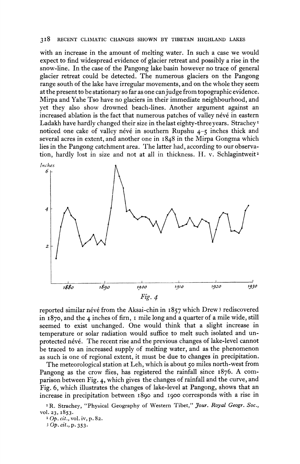#### **318 RECENT CLIMATIC CHANGES SHOWN BY TIBETAN HIGHLAND LAKES**

**with an increase in the amount of melting water. In such a case we would expect to find widespread evidence of glacier retreat and possibly a rise in the snow-line. In the case of the Pangong lake basin however no trace of general glacier retreat could be detected. The numerous glaciers on the Pangong range south of the lake have irregular movements, and on the whole they seem at the present to be stationary so far as one can judge from topographic evidence. Mirpa and Yahe Tso have no glaciers in their immediate neighbourhood, and yet they also show drowned beach-lines. Another argument against an**  increased ablation is the fact that numerous patches of valley névé in eastern **Ladakh have hardly changed their size in the last eighty-three years. Strachey noticed one cake of valley névé in southern Rupshu 4-5 inches thick and several acres in extent, and another one in I848 in the Mirpa Gongma which lies in the Pangong catchment area. The latter had, according to our observation, hardly lost in size and not at all in thickness. H. v. Schlagintweitz** 



reported similar névé from the Aksai-chin in 1857 which Drew<sup>3</sup> rediscovered **in I870, and the 4 inches of firn, i mile long and a quarter of a mile wide, still seemed to exist unchanged. One would think that a slight increase in temperature or solar radiation would suffice to melt such isolated and unprotected neve. The recent rise and the previous changes of lake-level cannot be traced to an increased supply of melting water, and as the phenomenon as such is one of regional extent, it must be due to changes in precipitation.** 

**The meteorological station at Leh, which is about 50 miles north-west from Pangong as the crow flies, has registered the rainfall since I876. A comparison between Fig. 4, which gives the changes of rainfall and the curve, and Fig. 6, which illustrates the changes of lake-level at Pangong, shows that an increase in precipitation between I890 and I900 corresponds with a rise in** 

<sup>1</sup> R. Strachey, "Physical Geography of Western Tibet," *Jour. Royal Geogr. Soc.*, **vol. 23, 1853.** 

**2 Op. cit., vol. iv, p. 82.** 

**3 Op. cit., p. 353.**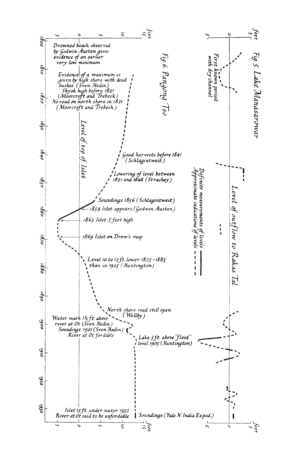